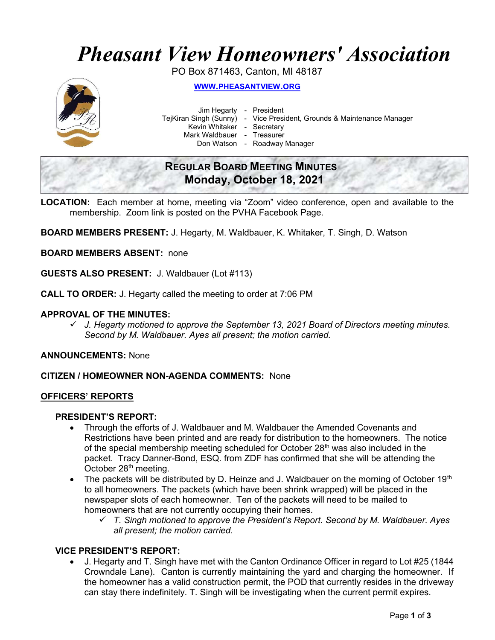# Pheasant View Homeowners' Association

PO Box 871463, Canton, MI 48187



WWW.PHEASANTVIEW.ORG

Jim Hegarty - President

TejKiran Singh (Sunny) - Vice President, Grounds & Maintenance Manager

Kevin Whitaker - Secretary

Mark Waldbauer - Treasurer

Don Watson - Roadway Manager

# REGULAR BOARD MEETING MINUTES Monday, October 18, 2021

LOCATION: Each member at home, meeting via "Zoom" video conference, open and available to the membership. Zoom link is posted on the PVHA Facebook Page.

BOARD MEMBERS PRESENT: J. Hegarty, M. Waldbauer, K. Whitaker, T. Singh, D. Watson

BOARD MEMBERS ABSENT: none

GUESTS ALSO PRESENT: J. Waldbauer (Lot #113)

CALL TO ORDER: J. Hegarty called the meeting to order at 7:06 PM

#### APPROVAL OF THE MINUTES:

 $\checkmark$  J. Hegarty motioned to approve the September 13, 2021 Board of Directors meeting minutes. Second by M. Waldbauer. Ayes all present; the motion carried.

ANNOUNCEMENTS: None

#### CITIZEN / HOMEOWNER NON-AGENDA COMMENTS: None

#### OFFICERS' REPORTS

#### PRESIDENT'S REPORT:

- Through the efforts of J. Waldbauer and M. Waldbauer the Amended Covenants and Restrictions have been printed and are ready for distribution to the homeowners. The notice of the special membership meeting scheduled for October  $28<sup>th</sup>$  was also included in the packet. Tracy Danner-Bond, ESQ. from ZDF has confirmed that she will be attending the October 28<sup>th</sup> meeting.
- The packets will be distributed by D. Heinze and J. Waldbauer on the morning of October 19<sup>th</sup> to all homeowners. The packets (which have been shrink wrapped) will be placed in the newspaper slots of each homeowner. Ten of the packets will need to be mailed to homeowners that are not currently occupying their homes.
	- $\checkmark$  T. Singh motioned to approve the President's Report. Second by M. Waldbauer. Ayes all present; the motion carried.

## VICE PRESIDENT'S REPORT:

 J. Hegarty and T. Singh have met with the Canton Ordinance Officer in regard to Lot #25 (1844 Crowndale Lane). Canton is currently maintaining the yard and charging the homeowner. If the homeowner has a valid construction permit, the POD that currently resides in the driveway can stay there indefinitely. T. Singh will be investigating when the current permit expires.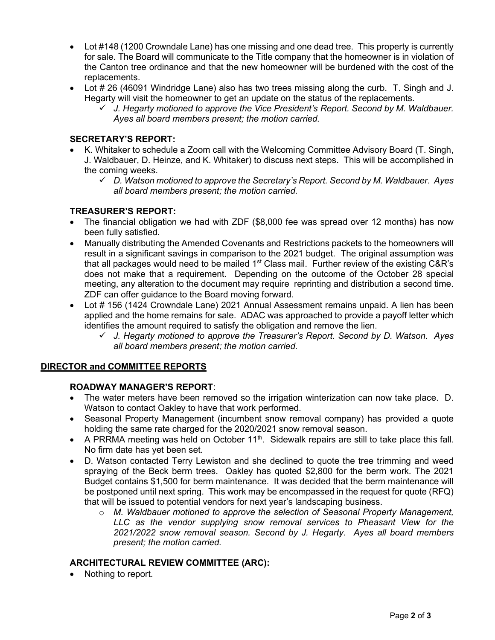- Lot #148 (1200 Crowndale Lane) has one missing and one dead tree. This property is currently for sale. The Board will communicate to the Title company that the homeowner is in violation of the Canton tree ordinance and that the new homeowner will be burdened with the cost of the replacements.
- Lot # 26 (46091 Windridge Lane) also has two trees missing along the curb. T. Singh and J. Hegarty will visit the homeowner to get an update on the status of the replacements.
	- $\checkmark$  J. Hegarty motioned to approve the Vice President's Report. Second by M. Waldbauer. Ayes all board members present; the motion carried.

## SECRETARY'S REPORT:

- K. Whitaker to schedule a Zoom call with the Welcoming Committee Advisory Board (T. Singh, J. Waldbauer, D. Heinze, and K. Whitaker) to discuss next steps. This will be accomplished in the coming weeks.
	- $\checkmark$  D. Watson motioned to approve the Secretary's Report. Second by M. Waldbauer. Ayes all board members present; the motion carried.

## TREASURER'S REPORT:

- The financial obligation we had with ZDF (\$8,000 fee was spread over 12 months) has now been fully satisfied.
- Manually distributing the Amended Covenants and Restrictions packets to the homeowners will result in a significant savings in comparison to the 2021 budget. The original assumption was that all packages would need to be mailed  $1<sup>st</sup>$  Class mail. Further review of the existing C&R's does not make that a requirement. Depending on the outcome of the October 28 special meeting, any alteration to the document may require reprinting and distribution a second time. ZDF can offer guidance to the Board moving forward.
- Lot # 156 (1424 Crowndale Lane) 2021 Annual Assessment remains unpaid. A lien has been applied and the home remains for sale. ADAC was approached to provide a payoff letter which identifies the amount required to satisfy the obligation and remove the lien.
	- $\checkmark$  J. Hegarty motioned to approve the Treasurer's Report. Second by D. Watson. Ayes all board members present; the motion carried.

## DIRECTOR and COMMITTEE REPORTS

## ROADWAY MANAGER'S REPORT:

- The water meters have been removed so the irrigation winterization can now take place. D. Watson to contact Oakley to have that work performed.
- Seasonal Property Management (incumbent snow removal company) has provided a quote holding the same rate charged for the 2020/2021 snow removal season.
- A PRRMA meeting was held on October 11<sup>th</sup>. Sidewalk repairs are still to take place this fall. No firm date has yet been set.
- D. Watson contacted Terry Lewiston and she declined to quote the tree trimming and weed spraying of the Beck berm trees. Oakley has quoted \$2,800 for the berm work. The 2021 Budget contains \$1,500 for berm maintenance. It was decided that the berm maintenance will be postponed until next spring. This work may be encompassed in the request for quote (RFQ) that will be issued to potential vendors for next year's landscaping business.
	- $\circ$  M. Waldbauer motioned to approve the selection of Seasonal Property Management, LLC as the vendor supplying snow removal services to Pheasant View for the 2021/2022 snow removal season. Second by J. Hegarty. Ayes all board members present; the motion carried.

## ARCHITECTURAL REVIEW COMMITTEE (ARC):

Nothing to report.